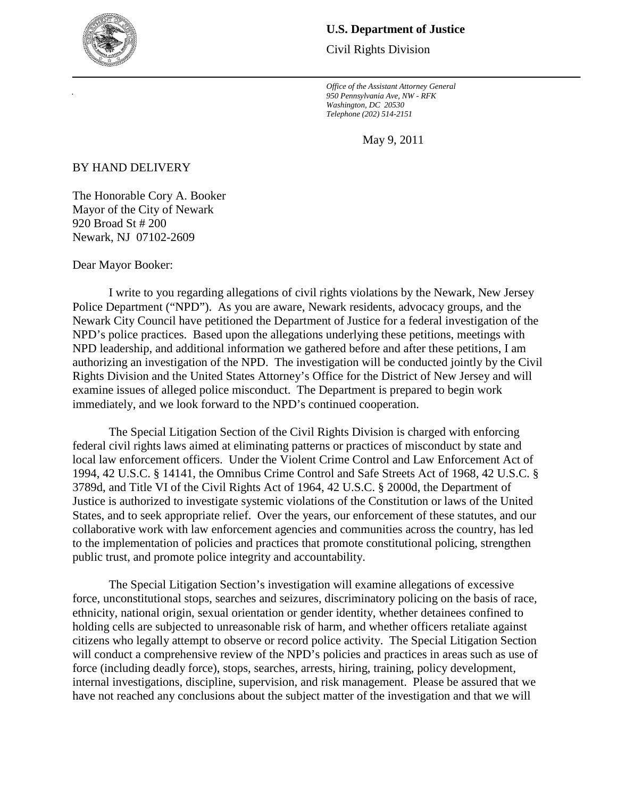

## **U.S. Department of Justice**

Civil Rights Division

*Office of the Assistant Attorney General 950 Pennsylvania Ave, NW - RFK Washington, DC 20530 Telephone (202) 514-2151*

May 9, 2011

BY HAND DELIVERY

The Honorable Cory A. Booker Mayor of the City of Newark 920 Broad St # 200 Newark, NJ 07102-2609

Dear Mayor Booker:

I write to you regarding allegations of civil rights violations by the Newark, New Jersey Police Department ("NPD"). As you are aware, Newark residents, advocacy groups, and the Newark City Council have petitioned the Department of Justice for a federal investigation of the NPD's police practices. Based upon the allegations underlying these petitions, meetings with NPD leadership, and additional information we gathered before and after these petitions, I am authorizing an investigation of the NPD. The investigation will be conducted jointly by the Civil Rights Division and the United States Attorney's Office for the District of New Jersey and will examine issues of alleged police misconduct. The Department is prepared to begin work immediately, and we look forward to the NPD's continued cooperation.

The Special Litigation Section of the Civil Rights Division is charged with enforcing federal civil rights laws aimed at eliminating patterns or practices of misconduct by state and local law enforcement officers. Under the Violent Crime Control and Law Enforcement Act of 1994, 42 U.S.C. § 14141, the Omnibus Crime Control and Safe Streets Act of 1968, 42 U.S.C. § 3789d, and Title VI of the Civil Rights Act of 1964, 42 U.S.C. § 2000d, the Department of Justice is authorized to investigate systemic violations of the Constitution or laws of the United States, and to seek appropriate relief. Over the years, our enforcement of these statutes, and our collaborative work with law enforcement agencies and communities across the country, has led to the implementation of policies and practices that promote constitutional policing, strengthen public trust, and promote police integrity and accountability.

The Special Litigation Section's investigation will examine allegations of excessive force, unconstitutional stops, searches and seizures, discriminatory policing on the basis of race, ethnicity, national origin, sexual orientation or gender identity, whether detainees confined to holding cells are subjected to unreasonable risk of harm, and whether officers retaliate against citizens who legally attempt to observe or record police activity. The Special Litigation Section will conduct a comprehensive review of the NPD's policies and practices in areas such as use of force (including deadly force), stops, searches, arrests, hiring, training, policy development, internal investigations, discipline, supervision, and risk management. Please be assured that we have not reached any conclusions about the subject matter of the investigation and that we will